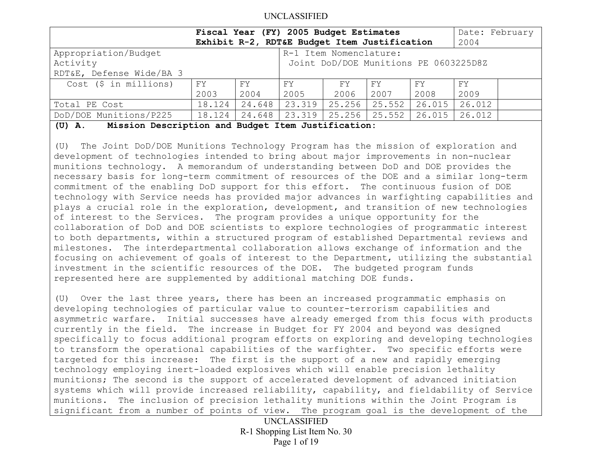|                                                                                                                         |        | Fiscal Year (FY) 2005 Budget Estimates<br>Exhibit R-2, RDT&E Budget Item Justification |        |        |        |                                       |        | Date: February |
|-------------------------------------------------------------------------------------------------------------------------|--------|----------------------------------------------------------------------------------------|--------|--------|--------|---------------------------------------|--------|----------------|
| Appropriation/Budget<br>R-1 Item Nomenclature:                                                                          |        |                                                                                        |        |        |        |                                       |        |                |
| Activity                                                                                                                |        |                                                                                        |        |        |        | Joint DoD/DOE Munitions PE 0603225D8Z |        |                |
| RDT&E, Defense Wide/BA 3                                                                                                |        |                                                                                        |        |        |        |                                       |        |                |
| Cost (\$ in millions)                                                                                                   | FY.    | FY .                                                                                   | FY     | FY.    | FY     | FY                                    | FY     |                |
|                                                                                                                         | 2003   | 2004                                                                                   | 2005   | 2006   | 2007   | 2008                                  | 2009   |                |
| Total PE Cost                                                                                                           | 18.124 | 24.648                                                                                 | 23.319 | 25.256 | 25.552 | 26.015                                | 26.012 |                |
| DoD/DOE Munitions/P225                                                                                                  | 18.124 | 24.648                                                                                 | 23.319 | 25.256 | 25.552 | 26.015                                | 26.012 |                |
| $\lambda = 1$ , and it is not in the set of $\lambda$ . In the set of $\lambda$ , and it is not in the set of $\lambda$ |        |                                                                                        |        |        |        |                                       |        |                |

**(U) A. Mission Description and Budget Item Justification:** 

(U) The Joint DoD/DOE Munitions Technology Program has the mission of exploration and development of technologies intended to bring about major improvements in non-nuclear munitions technology. A memorandum of understanding between DoD and DOE provides the necessary basis for long-term commitment of resources of the DOE and a similar long-term commitment of the enabling DoD support for this effort. The continuous fusion of DOE technology with Service needs has provided major advances in warfighting capabilities and plays a crucial role in the exploration, development, and transition of new technologies of interest to the Services. The program provides a unique opportunity for the collaboration of DoD and DOE scientists to explore technologies of programmatic interest to both departments, within a structured program of established Departmental reviews and milestones. The interdepartmental collaboration allows exchange of information and the focusing on achievement of goals of interest to the Department, utilizing the substantial investment in the scientific resources of the DOE. The budgeted program funds represented here are supplemented by additional matching DOE funds.

(U) Over the last three years, there has been an increased programmatic emphasis on developing technologies of particular value to counter-terrorism capabilities and asymmetric warfare. Initial successes have already emerged from this focus with products currently in the field. The increase in Budget for FY 2004 and beyond was designed specifically to focus additional program efforts on exploring and developing technologies to transform the operational capabilities of the warfighter. Two specific efforts were targeted for this increase: The first is the support of a new and rapidly emerging technology employing inert-loaded explosives which will enable precision lethality munitions; The second is the support of accelerated development of advanced initiation systems which will provide increased reliability, capability, and fieldability of Service munitions. The inclusion of precision lethality munitions within the Joint Program is significant from a number of points of view. The program goal is the development of the

> UNCLASSIFIED R-1 Shopping List Item No. 30 Page 1 of 19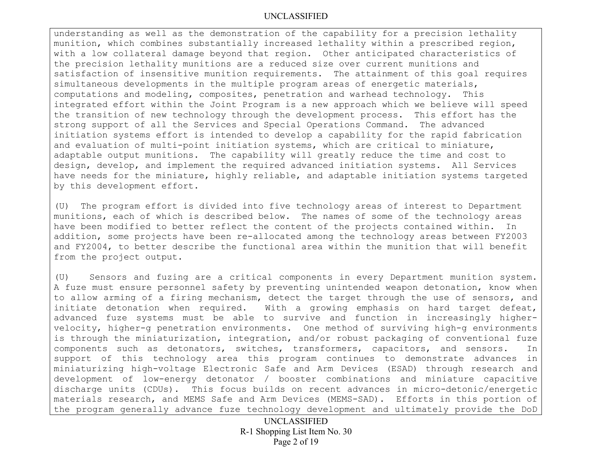understanding as well as the demonstration of the capability for a precision lethality munition, which combines substantially increased lethality within a prescribed region, with a low collateral damage beyond that region. Other anticipated characteristics of the precision lethality munitions are a reduced size over current munitions and satisfaction of insensitive munition requirements. The attainment of this goal requires simultaneous developments in the multiple program areas of energetic materials, computations and modeling, composites, penetration and warhead technology. This integrated effort within the Joint Program is a new approach which we believe will speed the transition of new technology through the development process. This effort has the strong support of all the Services and Special Operations Command. The advanced initiation systems effort is intended to develop a capability for the rapid fabrication and evaluation of multi-point initiation systems, which are critical to miniature, adaptable output munitions. The capability will greatly reduce the time and cost to design, develop, and implement the required advanced initiation systems. All Services have needs for the miniature, highly reliable, and adaptable initiation systems targeted by this development effort.

(U) The program effort is divided into five technology areas of interest to Department munitions, each of which is described below. The names of some of the technology areas have been modified to better reflect the content of the projects contained within. In addition, some projects have been re-allocated among the technology areas between FY2003 and FY2004, to better describe the functional area within the munition that will benefit from the project output.

(U) Sensors and fuzing are a critical components in every Department munition system. A fuze must ensure personnel safety by preventing unintended weapon detonation, know when to allow arming of a firing mechanism, detect the target through the use of sensors, and initiate detonation when required. With a growing emphasis on hard target defeat, advanced fuze systems must be able to survive and function in increasingly highervelocity, higher-g penetration environments. One method of surviving high-g environments is through the miniaturization, integration, and/or robust packaging of conventional fuze components such as detonators, switches, transformers, capacitors, and sensors. In support of this technology area this program continues to demonstrate advances in miniaturizing high-voltage Electronic Safe and Arm Devices (ESAD) through research and development of low-energy detonator / booster combinations and miniature capacitive discharge units (CDUs). This focus builds on recent advances in micro-detonic/energetic materials research, and MEMS Safe and Arm Devices (MEMS-SAD). Efforts in this portion of the program generally advance fuze technology development and ultimately provide the DoD

> UNCLASSIFIED R-1 Shopping List Item No. 30 Page 2 of 19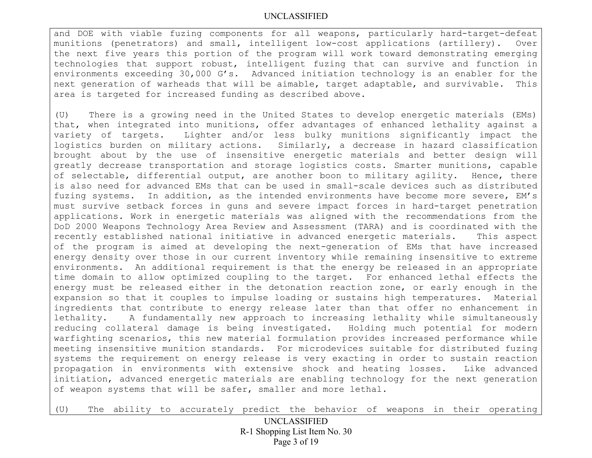and DOE with viable fuzing components for all weapons, particularly hard-target-defeat munitions (penetrators) and small, intelligent low-cost applications (artillery). Over the next five years this portion of the program will work toward demonstrating emerging technologies that support robust, intelligent fuzing that can survive and function in environments exceeding 30,000 G's. Advanced initiation technology is an enabler for the next generation of warheads that will be aimable, target adaptable, and survivable. This area is targeted for increased funding as described above.

(U) There is a growing need in the United States to develop energetic materials (EMs) that, when integrated into munitions, offer advantages of enhanced lethality against a variety of targets. Lighter and/or less bulky munitions significantly impact the logistics burden on military actions. Similarly, a decrease in hazard classification brought about by the use of insensitive energetic materials and better design will greatly decrease transportation and storage logistics costs. Smarter munitions, capable of selectable, differential output, are another boon to military agility. Hence, there is also need for advanced EMs that can be used in small-scale devices such as distributed fuzing systems. In addition, as the intended environments have become more severe, EM's must survive setback forces in guns and severe impact forces in hard-target penetration applications. Work in energetic materials was aligned with the recommendations from the DoD 2000 Weapons Technology Area Review and Assessment (TARA) and is coordinated with the recently established national initiative in advanced energetic materials. This aspect of the program is aimed at developing the next-generation of EMs that have increased energy density over those in our current inventory while remaining insensitive to extreme environments. An additional requirement is that the energy be released in an appropriate time domain to allow optimized coupling to the target. For enhanced lethal effects the energy must be released either in the detonation reaction zone, or early enough in the expansion so that it couples to impulse loading or sustains high temperatures. Material ingredients that contribute to energy release later than that offer no enhancement in lethality. A fundamentally new approach to increasing lethality while simultaneously reducing collateral damage is being investigated. Holding much potential for modern warfighting scenarios, this new material formulation provides increased performance while meeting insensitive munition standards. For microdevices suitable for distributed fuzing systems the requirement on energy release is very exacting in order to sustain reaction propagation in environments with extensive shock and heating losses. Like advanced initiation, advanced energetic materials are enabling technology for the next generation of weapon systems that will be safer, smaller and more lethal.

(U) The ability to accurately predict the behavior of weapons in their operating

UNCLASSIFIED R-1 Shopping List Item No. 30 Page 3 of 19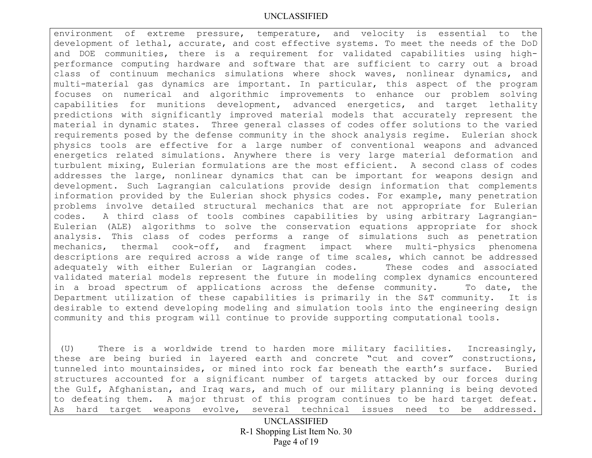environment of extreme pressure, temperature, and velocity is essential to the development of lethal, accurate, and cost effective systems. To meet the needs of the DoD and DOE communities, there is a requirement for validated capabilities using highperformance computing hardware and software that are sufficient to carry out a broad class of continuum mechanics simulations where shock waves, nonlinear dynamics, and multi-material gas dynamics are important. In particular, this aspect of the program focuses on numerical and algorithmic improvements to enhance our problem solving capabilities for munitions development, advanced energetics, and target lethality predictions with significantly improved material models that accurately represent the material in dynamic states. Three general classes of codes offer solutions to the varied requirements posed by the defense community in the shock analysis regime. Eulerian shock physics tools are effective for a large number of conventional weapons and advanced energetics related simulations. Anywhere there is very large material deformation and turbulent mixing, Eulerian formulations are the most efficient. A second class of codes addresses the large, nonlinear dynamics that can be important for weapons design and development. Such Lagrangian calculations provide design information that complements information provided by the Eulerian shock physics codes. For example, many penetration problems involve detailed structural mechanics that are not appropriate for Eulerian codes. A third class of tools combines capabilities by using arbitrary Lagrangian-Eulerian (ALE) algorithms to solve the conservation equations appropriate for shock analysis. This class of codes performs a range of simulations such as penetration mechanics, thermal cook-off, and fragment impact where multi-physics phenomena descriptions are required across a wide range of time scales, which cannot be addressed adequately with either Eulerian or Lagrangian codes. These codes and associated validated material models represent the future in modeling complex dynamics encountered in a broad spectrum of applications across the defense community. To date, the Department utilization of these capabilities is primarily in the S&T community. It is desirable to extend developing modeling and simulation tools into the engineering design community and this program will continue to provide supporting computational tools.

 (U) There is a worldwide trend to harden more military facilities. Increasingly, these are being buried in layered earth and concrete "cut and cover" constructions, tunneled into mountainsides, or mined into rock far beneath the earth's surface. Buried structures accounted for a significant number of targets attacked by our forces during the Gulf, Afghanistan, and Iraq wars, and much of our military planning is being devoted to defeating them. A major thrust of this program continues to be hard target defeat. As hard target weapons evolve, several technical issues need to be addressed.

> UNCLASSIFIED R-1 Shopping List Item No. 30 Page 4 of 19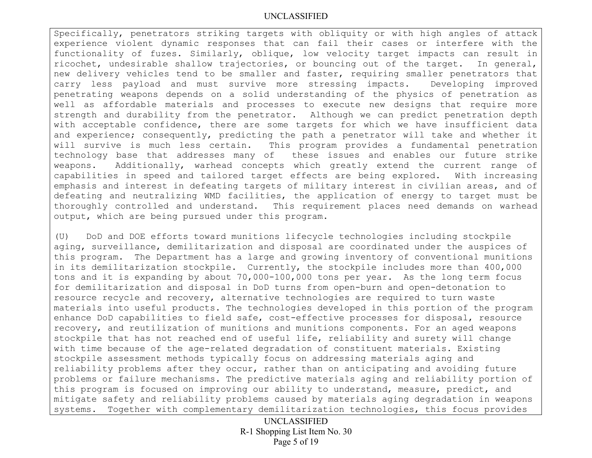Specifically, penetrators striking targets with obliquity or with high angles of attack experience violent dynamic responses that can fail their cases or interfere with the functionality of fuzes. Similarly, oblique, low velocity target impacts can result in ricochet, undesirable shallow trajectories, or bouncing out of the target. In general, new delivery vehicles tend to be smaller and faster, requiring smaller penetrators that carry less payload and must survive more stressing impacts. Developing improved penetrating weapons depends on a solid understanding of the physics of penetration as well as affordable materials and processes to execute new designs that require more strength and durability from the penetrator. Although we can predict penetration depth with acceptable confidence, there are some targets for which we have insufficient data and experience; consequently, predicting the path a penetrator will take and whether it will survive is much less certain. This program provides a fundamental penetration technology base that addresses many of these issues and enables our future strike weapons. Additionally, warhead concepts which greatly extend the current range of capabilities in speed and tailored target effects are being explored. With increasing emphasis and interest in defeating targets of military interest in civilian areas, and of defeating and neutralizing WMD facilities, the application of energy to target must be thoroughly controlled and understand. This requirement places need demands on warhead output, which are being pursued under this program.

(U) DoD and DOE efforts toward munitions lifecycle technologies including stockpile aging, surveillance, demilitarization and disposal are coordinated under the auspices of this program. The Department has a large and growing inventory of conventional munitions in its demilitarization stockpile. Currently, the stockpile includes more than 400,000 tons and it is expanding by about 70,000-100,000 tons per year. As the long term focus for demilitarization and disposal in DoD turns from open-burn and open-detonation to resource recycle and recovery, alternative technologies are required to turn waste materials into useful products. The technologies developed in this portion of the program enhance DoD capabilities to field safe, cost-effective processes for disposal, resource recovery, and reutilization of munitions and munitions components. For an aged weapons stockpile that has not reached end of useful life, reliability and surety will change with time because of the age-related degradation of constituent materials. Existing stockpile assessment methods typically focus on addressing materials aging and reliability problems after they occur, rather than on anticipating and avoiding future problems or failure mechanisms. The predictive materials aging and reliability portion of this program is focused on improving our ability to understand, measure, predict, and mitigate safety and reliability problems caused by materials aging degradation in weapons systems. Together with complementary demilitarization technologies, this focus provides

> UNCLASSIFIED R-1 Shopping List Item No. 30 Page 5 of 19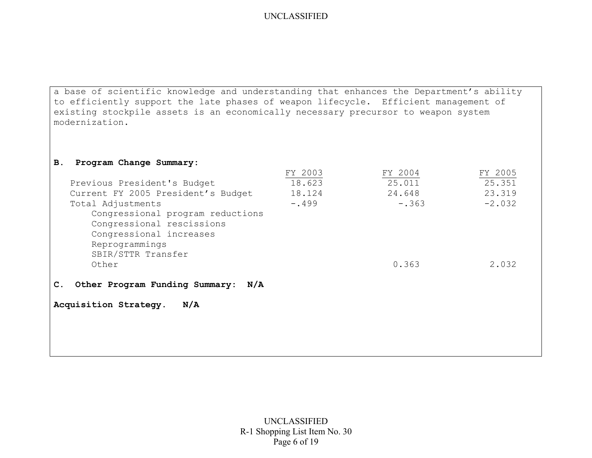a base of scientific knowledge and understanding that enhances the Department's ability to efficiently support the late phases of weapon lifecycle. Efficient management of existing stockpile assets is an economically necessary precursor to weapon system modernization.

### **B. Program Change Summary:**

|                                             | FY 2003 | FY 2004 | FY 2005  |
|---------------------------------------------|---------|---------|----------|
| Previous President's Budget                 | 18.623  | 25.011  | 25.351   |
| Current FY 2005 President's Budget          | 18.124  | 24.648  | 23.319   |
| Total Adjustments                           | $-.499$ | $-.363$ | $-2.032$ |
| Congressional program reductions            |         |         |          |
| Congressional rescissions                   |         |         |          |
| Congressional increases                     |         |         |          |
| Reprogrammings                              |         |         |          |
| SBIR/STTR Transfer                          |         |         |          |
| Other                                       |         | 0.363   | 2.032    |
| Other Program Funding Summary:<br>С.<br>N/A |         |         |          |
|                                             |         |         |          |
| Acquisition Strategy.<br>N/A                |         |         |          |
|                                             |         |         |          |
|                                             |         |         |          |
|                                             |         |         |          |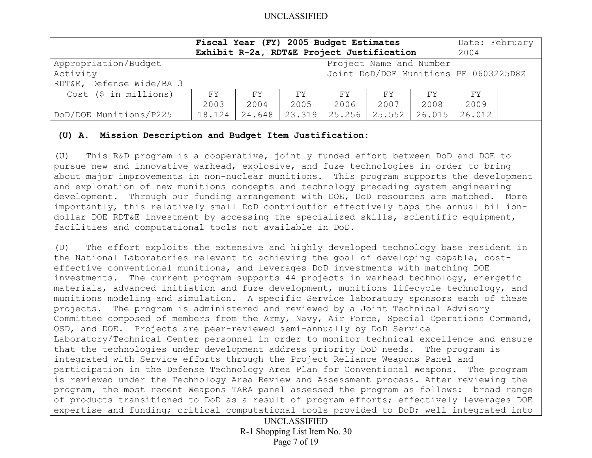|                                                              | Fiscal Year (FY) 2005 Budget Estimates<br>Exhibit R-2a, RDT&E Project Justification |             |             |             |            |             | Date: February<br>2004 |  |
|--------------------------------------------------------------|-------------------------------------------------------------------------------------|-------------|-------------|-------------|------------|-------------|------------------------|--|
| Appropriation/Budget<br>Activity<br>RDT&E, Defense Wide/BA 3 | Project Name and Number<br>Joint DoD/DOE Munitions PE 0603225D8Z                    |             |             |             |            |             |                        |  |
| Cost (\$ in millions)                                        | FY<br>2003                                                                          | FY.<br>2004 | FY.<br>2005 | FY.<br>2006 | FY<br>2007 | FY.<br>2008 | FY<br>2009             |  |
| DoD/DOE Munitions/P225                                       | 18.124                                                                              | 24.648      | 23.319      | 25.256      | 25.552     | 26.015      | 26.012                 |  |

### **(U) A. Mission Description and Budget Item Justification:**

(U) This R&D program is a cooperative, jointly funded effort between DoD and DOE to pursue new and innovative warhead, explosive, and fuze technologies in order to bring about major improvements in non-nuclear munitions. This program supports the development and exploration of new munitions concepts and technology preceding system engineering development. Through our funding arrangement with DOE, DoD resources are matched. More importantly, this relatively small DoD contribution effectively taps the annual billiondollar DOE RDT&E investment by accessing the specialized skills, scientific equipment, facilities and computational tools not available in DoD.

(U) The effort exploits the extensive and highly developed technology base resident in the National Laboratories relevant to achieving the goal of developing capable, costeffective conventional munitions, and leverages DoD investments with matching DOE investments. The current program supports 44 projects in warhead technology, energetic materials, advanced initiation and fuze development, munitions lifecycle technology, and munitions modeling and simulation. A specific Service laboratory sponsors each of these projects. The program is administered and reviewed by a Joint Technical Advisory Committee composed of members from the Army, Navy, Air Force, Special Operations Command, OSD, and DOE. Projects are peer-reviewed semi-annually by DoD Service Laboratory/Technical Center personnel in order to monitor technical excellence and ensure that the technologies under development address priority DoD needs. The program is integrated with Service efforts through the Project Reliance Weapons Panel and participation in the Defense Technology Area Plan for Conventional Weapons. The program is reviewed under the Technology Area Review and Assessment process. After reviewing the program, the most recent Weapons TARA panel assessed the program as follows: broad range of products transitioned to DoD as a result of program efforts; effectively leverages DOE expertise and funding; critical computational tools provided to DoD; well integrated into

> UNCLASSIFIED R-1 Shopping List Item No. 30 Page 7 of 19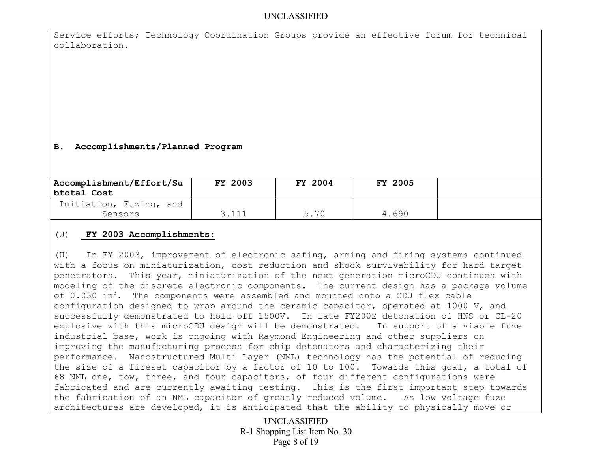Service efforts; Technology Coordination Groups provide an effective forum for technical collaboration.

# **B. Accomplishments/Planned Program**

| Accomplishment/Effort/Su<br>btotal Cost | FY 2003 | FY 2004 | FY 2005 |  |
|-----------------------------------------|---------|---------|---------|--|
| Initiation, Fuzing, and<br>Sensors      |         | 5.70    | 4.690   |  |

# (U) **FY 2003 Accomplishments:**

(U) In FY 2003, improvement of electronic safing, arming and firing systems continued with a focus on miniaturization, cost reduction and shock survivability for hard target penetrators. This year, miniaturization of the next generation microCDU continues with modeling of the discrete electronic components. The current design has a package volume of  $0.030$  in<sup>3</sup>. The components were assembled and mounted onto a CDU flex cable configuration designed to wrap around the ceramic capacitor, operated at 1000 V, and successfully demonstrated to hold off 1500V. In late FY2002 detonation of HNS or CL-20 explosive with this microCDU design will be demonstrated. In support of a viable fuze industrial base, work is ongoing with Raymond Engineering and other suppliers on improving the manufacturing process for chip detonators and characterizing their performance. Nanostructured Multi Layer (NML) technology has the potential of reducing the size of a fireset capacitor by a factor of 10 to 100. Towards this goal, a total of 68 NML one, tow, three, and four capacitors, of four different configurations were fabricated and are currently awaiting testing. This is the first important step towards the fabrication of an NML capacitor of greatly reduced volume. As low voltage fuze architectures are developed, it is anticipated that the ability to physically move or

> UNCLASSIFIED R-1 Shopping List Item No. 30 Page 8 of 19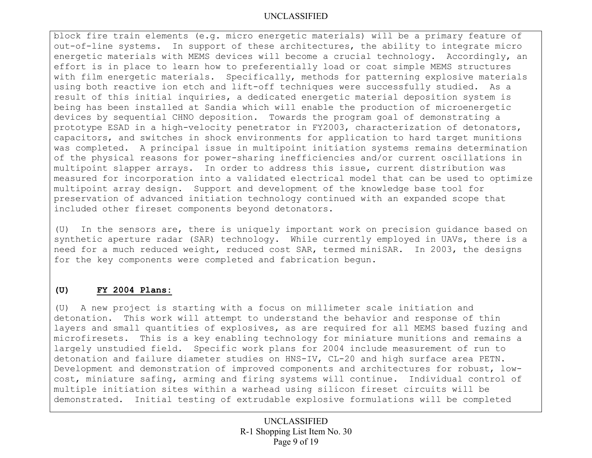block fire train elements (e.g. micro energetic materials) will be a primary feature of out-of-line systems. In support of these architectures, the ability to integrate micro energetic materials with MEMS devices will become a crucial technology. Accordingly, an effort is in place to learn how to preferentially load or coat simple MEMS structures with film energetic materials. Specifically, methods for patterning explosive materials using both reactive ion etch and lift-off techniques were successfully studied. As a result of this initial inquiries, a dedicated energetic material deposition system is being has been installed at Sandia which will enable the production of microenergetic devices by sequential CHNO deposition. Towards the program goal of demonstrating a prototype ESAD in a high-velocity penetrator in FY2003, characterization of detonators, capacitors, and switches in shock environments for application to hard target munitions was completed. A principal issue in multipoint initiation systems remains determination of the physical reasons for power-sharing inefficiencies and/or current oscillations in multipoint slapper arrays. In order to address this issue, current distribution was measured for incorporation into a validated electrical model that can be used to optimize multipoint array design. Support and development of the knowledge base tool for preservation of advanced initiation technology continued with an expanded scope that included other fireset components beyond detonators.

(U) In the sensors are, there is uniquely important work on precision guidance based on synthetic aperture radar (SAR) technology. While currently employed in UAVs, there is a need for a much reduced weight, reduced cost SAR, termed miniSAR. In 2003, the designs for the key components were completed and fabrication begun.

#### **(U) FY 2004 Plans:**

(U) A new project is starting with a focus on millimeter scale initiation and detonation. This work will attempt to understand the behavior and response of thin layers and small quantities of explosives, as are required for all MEMS based fuzing and microfiresets. This is a key enabling technology for miniature munitions and remains a largely unstudied field. Specific work plans for 2004 include measurement of run to detonation and failure diameter studies on HNS-IV, CL-20 and high surface area PETN. Development and demonstration of improved components and architectures for robust, lowcost, miniature safing, arming and firing systems will continue. Individual control of multiple initiation sites within a warhead using silicon fireset circuits will be demonstrated. Initial testing of extrudable explosive formulations will be completed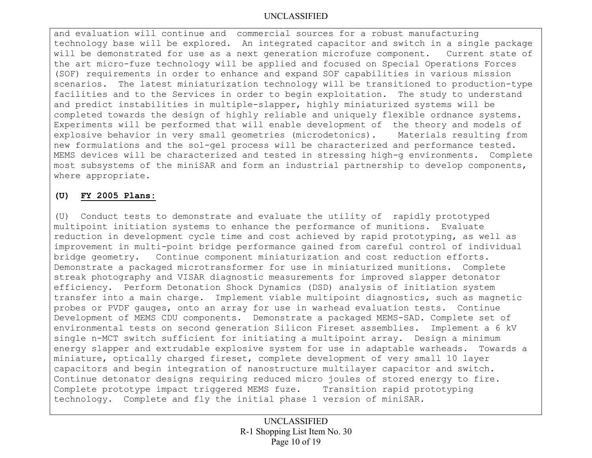and evaluation will continue and commercial sources for a robust manufacturing technology base will be explored. An integrated capacitor and switch in a single package will be demonstrated for use as a next generation microfuze component. Current state of the art micro-fuze technology will be applied and focused on Special Operations Forces (SOF) requirements in order to enhance and expand SOF capabilities in various mission scenarios. The latest miniaturization technology will be transitioned to production-type facilities and to the Services in order to begin exploitation. The study to understand and predict instabilities in multiple-slapper, highly miniaturized systems will be completed towards the design of highly reliable and uniquely flexible ordnance systems. Experiments will be performed that will enable development of the theory and models of explosive behavior in very small geometries (microdetonics). Materials resulting from new formulations and the sol-gel process will be characterized and performance tested. MEMS devices will be characterized and tested in stressing high-g environments. Complete most subsystems of the miniSAR and form an industrial partnership to develop components, where appropriate.

#### **(U) FY 2005 Plans:**

(U) Conduct tests to demonstrate and evaluate the utility of rapidly prototyped multipoint initiation systems to enhance the performance of munitions. Evaluate reduction in development cycle time and cost achieved by rapid prototyping, as well as improvement in multi-point bridge performance gained from careful control of individual bridge geometry. Continue component miniaturization and cost reduction efforts. Demonstrate a packaged microtransformer for use in miniaturized munitions. Complete streak photography and VISAR diagnostic measurements for improved slapper detonator efficiency. Perform Detonation Shock Dynamics (DSD) analysis of initiation system transfer into a main charge. Implement viable multipoint diagnostics, such as magnetic probes or PVDF gauges, onto an array for use in warhead evaluation tests. Continue Development of MEMS CDU components. Demonstrate a packaged MEMS-SAD. Complete set of environmental tests on second generation Silicon Fireset assemblies. Implement a 6 kV single n-MCT switch sufficient for initiating a multipoint array. Design a minimum energy slapper and extrudable explosive system for use in adaptable warheads. Towards a miniature, optically charged fireset, complete development of very small 10 layer capacitors and begin integration of nanostructure multilayer capacitor and switch. Continue detonator designs requiring reduced micro joules of stored energy to fire. Complete prototype impact triggered MEMS fuze. Transition rapid prototyping technology. Complete and fly the initial phase 1 version of miniSAR.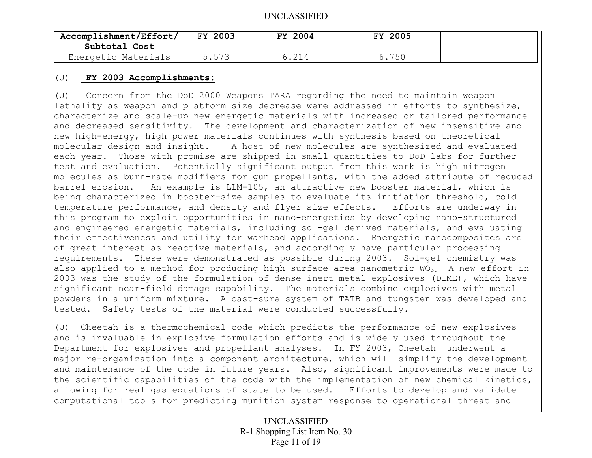| Accomplishment/Effort/<br>Subtotal Cost | 2003<br>FY. | FY 2004 | <b>FY 2005</b> |  |
|-----------------------------------------|-------------|---------|----------------|--|
| Energetic Materials                     | 5573        |         | .750           |  |

### (U) **FY 2003 Accomplishments:**

(U) Concern from the DoD 2000 Weapons TARA regarding the need to maintain weapon lethality as weapon and platform size decrease were addressed in efforts to synthesize, characterize and scale-up new energetic materials with increased or tailored performance and decreased sensitivity. The development and characterization of new insensitive and new high-energy, high power materials continues with synthesis based on theoretical molecular design and insight. A host of new molecules are synthesized and evaluated each year. Those with promise are shipped in small quantities to DoD labs for further test and evaluation. Potentially significant output from this work is high nitrogen molecules as burn-rate modifiers for gun propellants, with the added attribute of reduced barrel erosion. An example is LLM-105, an attractive new booster material, which is being characterized in booster-size samples to evaluate its initiation threshold, cold temperature performance, and density and flyer size effects. Efforts are underway in this program to exploit opportunities in nano-energetics by developing nano-structured and engineered energetic materials, including sol-gel derived materials, and evaluating their effectiveness and utility for warhead applications. Energetic nanocomposites are of great interest as reactive materials, and accordingly have particular processing requirements. These were demonstrated as possible during 2003. Sol-gel chemistry was also applied to a method for producing high surface area nanometric  $WO_3$ . A new effort in 2003 was the study of the formulation of dense inert metal explosives (DIME), which have significant near-field damage capability. The materials combine explosives with metal powders in a uniform mixture. A cast-sure system of TATB and tungsten was developed and tested. Safety tests of the material were conducted successfully.

(U) Cheetah is a thermochemical code which predicts the performance of new explosives and is invaluable in explosive formulation efforts and is widely used throughout the Department for explosives and propellant analyses. In FY 2003, Cheetah underwent a major re-organization into a component architecture, which will simplify the development and maintenance of the code in future years. Also, significant improvements were made to the scientific capabilities of the code with the implementation of new chemical kinetics, allowing for real gas equations of state to be used. Efforts to develop and validate computational tools for predicting munition system response to operational threat and

> UNCLASSIFIED R-1 Shopping List Item No. 30 Page 11 of 19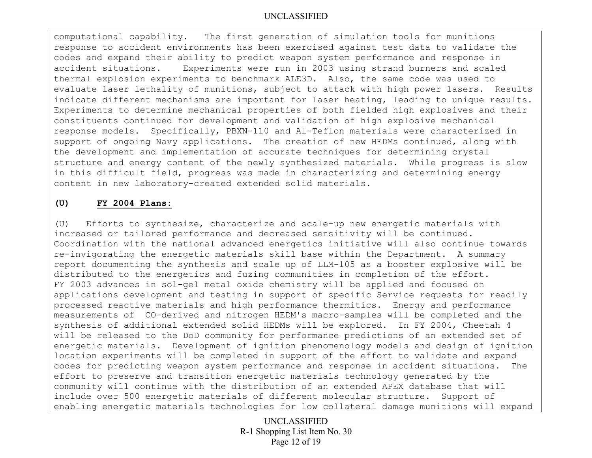computational capability. The first generation of simulation tools for munitions response to accident environments has been exercised against test data to validate the codes and expand their ability to predict weapon system performance and response in accident situations. Experiments were run in 2003 using strand burners and scaled thermal explosion experiments to benchmark ALE3D. Also, the same code was used to evaluate laser lethality of munitions, subject to attack with high power lasers. Results indicate different mechanisms are important for laser heating, leading to unique results. Experiments to determine mechanical properties of both fielded high explosives and their constituents continued for development and validation of high explosive mechanical response models. Specifically, PBXN-110 and Al-Teflon materials were characterized in support of ongoing Navy applications. The creation of new HEDMs continued, along with the development and implementation of accurate techniques for determining crystal structure and energy content of the newly synthesized materials. While progress is slow in this difficult field, progress was made in characterizing and determining energy content in new laboratory-created extended solid materials.

#### **(U) FY 2004 Plans:**

(U) Efforts to synthesize, characterize and scale-up new energetic materials with increased or tailored performance and decreased sensitivity will be continued. Coordination with the national advanced energetics initiative will also continue towards re-invigorating the energetic materials skill base within the Department. A summary report documenting the synthesis and scale up of LLM-105 as a booster explosive will be distributed to the energetics and fuzing communities in completion of the effort. FY 2003 advances in sol-gel metal oxide chemistry will be applied and focused on applications development and testing in support of specific Service requests for readily processed reactive materials and high performance thermitics. Energy and performance measurements of CO-derived and nitrogen HEDM's macro-samples will be completed and the synthesis of additional extended solid HEDMs will be explored. In FY 2004, Cheetah 4 will be released to the DoD community for performance predictions of an extended set of energetic materials. Development of ignition phenomenology models and design of ignition location experiments will be completed in support of the effort to validate and expand codes for predicting weapon system performance and response in accident situations. The effort to preserve and transition energetic materials technology generated by the community will continue with the distribution of an extended APEX database that will include over 500 energetic materials of different molecular structure. Support of enabling energetic materials technologies for low collateral damage munitions will expand

> UNCLASSIFIED R-1 Shopping List Item No. 30 Page 12 of 19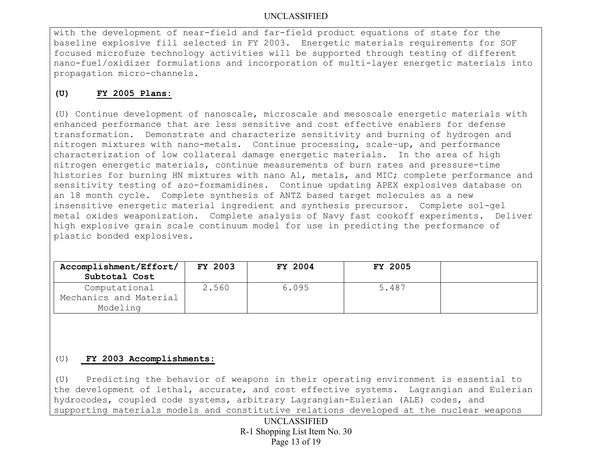with the development of near-field and far-field product equations of state for the baseline explosive fill selected in FY 2003. Energetic materials requirements for SOF focused microfuze technology activities will be supported through testing of different nano-fuel/oxidizer formulations and incorporation of multi-layer energetic materials into propagation micro-channels.

# **(U) FY 2005 Plans:**

(U) Continue development of nanoscale, microscale and mesoscale energetic materials with enhanced performance that are less sensitive and cost effective enablers for defense transformation. Demonstrate and characterize sensitivity and burning of hydrogen and nitrogen mixtures with nano-metals. Continue processing, scale–up, and performance characterization of low collateral damage energetic materials. In the area of high nitrogen energetic materials, continue measurements of burn rates and pressure-time histories for burning HN mixtures with nano Al, metals, and MIC; complete performance and sensitivity testing of azo-formamidines. Continue updating APEX explosives database on an 18 month cycle. Complete synthesis of ANTZ based target molecules as a new insensitive energetic material ingredient and synthesis precursor. Complete sol-gel metal oxides weaponization. Complete analysis of Navy fast cookoff experiments. Deliver high explosive grain scale continuum model for use in predicting the performance of plastic bonded explosives.

| Accomplishment/Effort/ | <b>FY 2003</b> | FY 2004 | <b>FY 2005</b> |  |
|------------------------|----------------|---------|----------------|--|
| Subtotal Cost          |                |         |                |  |
| Computational          | 2.560          | 6.095   | 5.487          |  |
| Mechanics and Material |                |         |                |  |
| Modeling               |                |         |                |  |

# (U) **FY 2003 Accomplishments:**

(U) Predicting the behavior of weapons in their operating environment is essential to the development of lethal, accurate, and cost effective systems. Lagrangian and Eulerian hydrocodes, coupled code systems, arbitrary Lagrangian-Eulerian (ALE) codes, and supporting materials models and constitutive relations developed at the nuclear weapons

> UNCLASSIFIED R-1 Shopping List Item No. 30 Page 13 of 19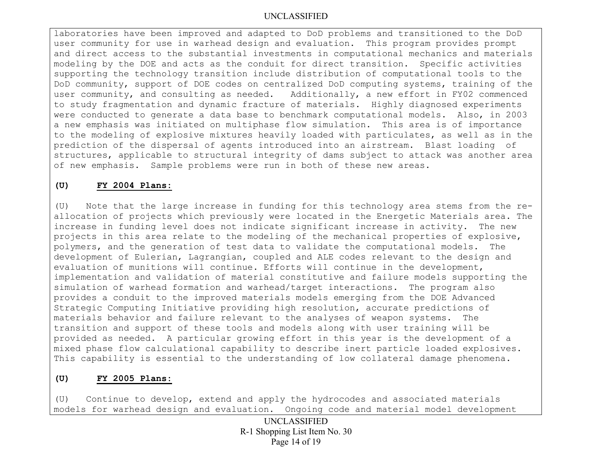laboratories have been improved and adapted to DoD problems and transitioned to the DoD user community for use in warhead design and evaluation. This program provides prompt and direct access to the substantial investments in computational mechanics and materials modeling by the DOE and acts as the conduit for direct transition. Specific activities supporting the technology transition include distribution of computational tools to the DoD community, support of DOE codes on centralized DoD computing systems, training of the user community, and consulting as needed. Additionally, a new effort in FY02 commenced to study fragmentation and dynamic fracture of materials. Highly diagnosed experiments were conducted to generate a data base to benchmark computational models. Also, in 2003 a new emphasis was initiated on multiphase flow simulation. This area is of importance to the modeling of explosive mixtures heavily loaded with particulates, as well as in the prediction of the dispersal of agents introduced into an airstream. Blast loading of structures, applicable to structural integrity of dams subject to attack was another area of new emphasis. Sample problems were run in both of these new areas.

### **(U) FY 2004 Plans:**

(U) Note that the large increase in funding for this technology area stems from the reallocation of projects which previously were located in the Energetic Materials area. The increase in funding level does not indicate significant increase in activity. The new projects in this area relate to the modeling of the mechanical properties of explosive, polymers, and the generation of test data to validate the computational models. The development of Eulerian, Lagrangian, coupled and ALE codes relevant to the design and evaluation of munitions will continue. Efforts will continue in the development, implementation and validation of material constitutive and failure models supporting the simulation of warhead formation and warhead/target interactions. The program also provides a conduit to the improved materials models emerging from the DOE Advanced Strategic Computing Initiative providing high resolution, accurate predictions of materials behavior and failure relevant to the analyses of weapon systems. The transition and support of these tools and models along with user training will be provided as needed. A particular growing effort in this year is the development of a mixed phase flow calculational capability to describe inert particle loaded explosives. This capability is essential to the understanding of low collateral damage phenomena.

# **(U) FY 2005 Plans:**

(U) Continue to develop, extend and apply the hydrocodes and associated materials models for warhead design and evaluation. Ongoing code and material model development

> UNCLASSIFIED R-1 Shopping List Item No. 30 Page 14 of 19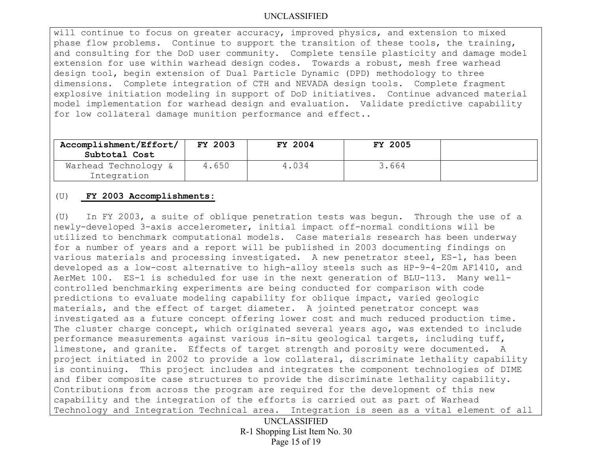will continue to focus on greater accuracy, improved physics, and extension to mixed phase flow problems. Continue to support the transition of these tools, the training, and consulting for the DoD user community. Complete tensile plasticity and damage model extension for use within warhead design codes. Towards a robust, mesh free warhead design tool, begin extension of Dual Particle Dynamic (DPD) methodology to three dimensions. Complete integration of CTH and NEVADA design tools. Complete fragment explosive initiation modeling in support of DoD initiatives. Continue advanced material model implementation for warhead design and evaluation. Validate predictive capability for low collateral damage munition performance and effect..

| Accomplishment/Effort/<br>Subtotal Cost | FY 2003 | FY 2004 | FY 2005 |  |
|-----------------------------------------|---------|---------|---------|--|
| Warhead Technology &<br>Integration     | 4.650   | 4.034   | 3.664   |  |

#### (U) **FY 2003 Accomplishments:**

(U) In FY 2003, a suite of oblique penetration tests was begun. Through the use of a newly-developed 3-axis accelerometer, initial impact off-normal conditions will be utilized to benchmark computational models. Case materials research has been underway for a number of years and a report will be published in 2003 documenting findings on various materials and processing investigated. A new penetrator steel, ES-1, has been developed as a low-cost alternative to high-alloy steels such as HP-9-4-20m AF1410, and AerMet 100. ES-1 is scheduled for use in the next generation of BLU-113. Many wellcontrolled benchmarking experiments are being conducted for comparison with code predictions to evaluate modeling capability for oblique impact, varied geologic materials, and the effect of target diameter. A jointed penetrator concept was investigated as a future concept offering lower cost and much reduced production time. The cluster charge concept, which originated several years ago, was extended to include performance measurements against various in-situ geological targets, including tuff, limestone, and granite. Effects of target strength and porosity were documented. A project initiated in 2002 to provide a low collateral, discriminate lethality capability is continuing. This project includes and integrates the component technologies of DIME and fiber composite case structures to provide the discriminate lethality capability. Contributions from across the program are required for the development of this new capability and the integration of the efforts is carried out as part of Warhead Technology and Integration Technical area. Integration is seen as a vital element of all

> UNCLASSIFIED R-1 Shopping List Item No. 30 Page 15 of 19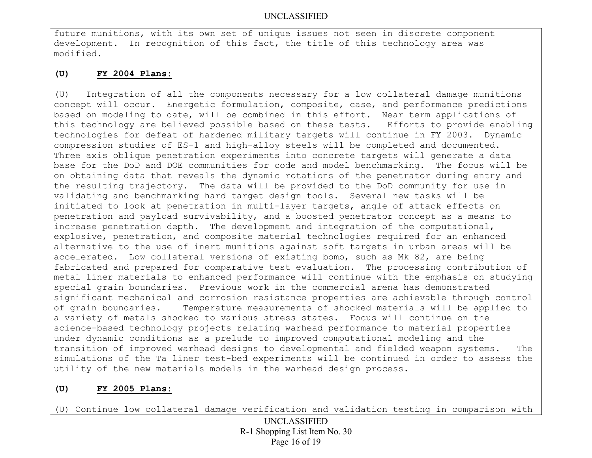future munitions, with its own set of unique issues not seen in discrete component development. In recognition of this fact, the title of this technology area was modified.

# **(U) FY 2004 Plans:**

(U) Integration of all the components necessary for a low collateral damage munitions concept will occur. Energetic formulation, composite, case, and performance predictions based on modeling to date, will be combined in this effort. Near term applications of this technology are believed possible based on these tests. Efforts to provide enabling technologies for defeat of hardened military targets will continue in FY 2003. Dynamic compression studies of ES-1 and high-alloy steels will be completed and documented. Three axis oblique penetration experiments into concrete targets will generate a data base for the DoD and DOE communities for code and model benchmarking. The focus will be on obtaining data that reveals the dynamic rotations of the penetrator during entry and the resulting trajectory. The data will be provided to the DoD community for use in validating and benchmarking hard target design tools. Several new tasks will be initiated to look at penetration in multi-layer targets, angle of attack effects on penetration and payload survivability, and a boosted penetrator concept as a means to increase penetration depth. The development and integration of the computational, explosive, penetration, and composite material technologies required for an enhanced alternative to the use of inert munitions against soft targets in urban areas will be accelerated. Low collateral versions of existing bomb, such as Mk 82, are being fabricated and prepared for comparative test evaluation. The processing contribution of metal liner materials to enhanced performance will continue with the emphasis on studying special grain boundaries. Previous work in the commercial arena has demonstrated significant mechanical and corrosion resistance properties are achievable through control of grain boundaries. Temperature measurements of shocked materials will be applied to a variety of metals shocked to various stress states. Focus will continue on the science-based technology projects relating warhead performance to material properties under dynamic conditions as a prelude to improved computational modeling and the transition of improved warhead designs to developmental and fielded weapon systems. The simulations of the Ta liner test-bed experiments will be continued in order to assess the utility of the new materials models in the warhead design process.

**(U) FY 2005 Plans:**

(U) Continue low collateral damage verification and validation testing in comparison with

UNCLASSIFIED R-1 Shopping List Item No. 30 Page 16 of 19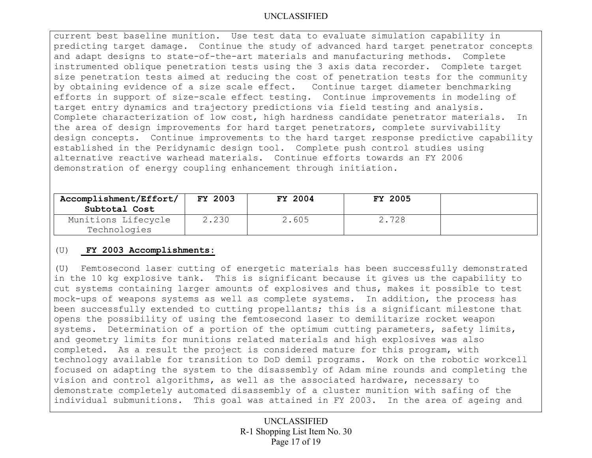current best baseline munition. Use test data to evaluate simulation capability in predicting target damage. Continue the study of advanced hard target penetrator concepts and adapt designs to state-of-the-art materials and manufacturing methods. Complete instrumented oblique penetration tests using the 3 axis data recorder. Complete target size penetration tests aimed at reducing the cost of penetration tests for the community by obtaining evidence of a size scale effect. Continue target diameter benchmarking efforts in support of size-scale effect testing. Continue improvements in modeling of target entry dynamics and trajectory predictions via field testing and analysis. Complete characterization of low cost, high hardness candidate penetrator materials. In the area of design improvements for hard target penetrators, complete survivability design concepts. Continue improvements to the hard target response predictive capability established in the Peridynamic design tool. Complete push control studies using alternative reactive warhead materials. Continue efforts towards an FY 2006 demonstration of energy coupling enhancement through initiation.

| Accomplishment/Effort/<br>Subtotal Cost | FY 2003 | FY 2004 | FY 2005 |  |
|-----------------------------------------|---------|---------|---------|--|
| Munitions Lifecycle<br>Technologies     | 2.230   | 2.605   | 2.728   |  |

# (U) **FY 2003 Accomplishments:**

(U) Femtosecond laser cutting of energetic materials has been successfully demonstrated in the 10 kg explosive tank. This is significant because it gives us the capability to cut systems containing larger amounts of explosives and thus, makes it possible to test mock-ups of weapons systems as well as complete systems. In addition, the process has been successfully extended to cutting propellants; this is a significant milestone that opens the possibility of using the femtosecond laser to demilitarize rocket weapon systems. Determination of a portion of the optimum cutting parameters, safety limits, and geometry limits for munitions related materials and high explosives was also completed. As a result the project is considered mature for this program, with technology available for transition to DoD demil programs. Work on the robotic workcell focused on adapting the system to the disassembly of Adam mine rounds and completing the vision and control algorithms, as well as the associated hardware, necessary to demonstrate completely automated disassembly of a cluster munition with safing of the individual submunitions. This goal was attained in FY 2003. In the area of ageing and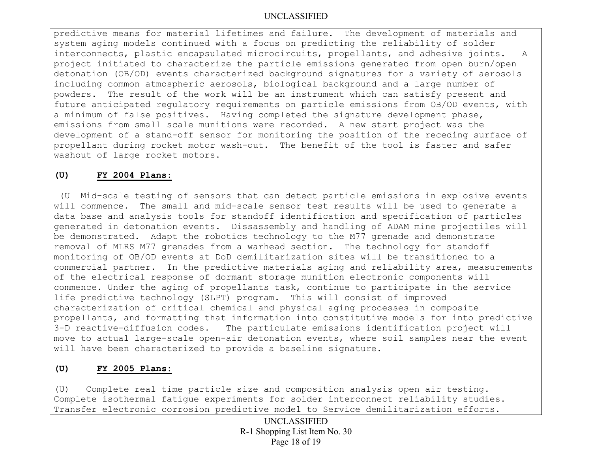predictive means for material lifetimes and failure. The development of materials and system aging models continued with a focus on predicting the reliability of solder interconnects, plastic encapsulated microcircuits, propellants, and adhesive joints. A project initiated to characterize the particle emissions generated from open burn/open detonation (OB/OD) events characterized background signatures for a variety of aerosols including common atmospheric aerosols, biological background and a large number of powders. The result of the work will be an instrument which can satisfy present and future anticipated regulatory requirements on particle emissions from OB/OD events, with a minimum of false positives. Having completed the signature development phase, emissions from small scale munitions were recorded. A new start project was the development of a stand-off sensor for monitoring the position of the receding surface of propellant during rocket motor wash-out. The benefit of the tool is faster and safer washout of large rocket motors.

### **(U) FY 2004 Plans:**

 (U Mid-scale testing of sensors that can detect particle emissions in explosive events will commence. The small and mid-scale sensor test results will be used to generate a data base and analysis tools for standoff identification and specification of particles generated in detonation events. Dissassembly and handling of ADAM mine projectiles will be demonstrated. Adapt the robotics technology to the M77 grenade and demonstrate removal of MLRS M77 grenades from a warhead section. The technology for standoff monitoring of OB/OD events at DoD demilitarization sites will be transitioned to a commercial partner. In the predictive materials aging and reliability area, measurements of the electrical response of dormant storage munition electronic components will commence. Under the aging of propellants task, continue to participate in the service life predictive technology (SLPT) program. This will consist of improved characterization of critical chemical and physical aging processes in composite propellants, and formatting that information into constitutive models for into predictive 3-D reactive-diffusion codes. The particulate emissions identification project will move to actual large-scale open-air detonation events, where soil samples near the event will have been characterized to provide a baseline signature.

# **(U) FY 2005 Plans:**

(U) Complete real time particle size and composition analysis open air testing. Complete isothermal fatigue experiments for solder interconnect reliability studies. Transfer electronic corrosion predictive model to Service demilitarization efforts.

> UNCLASSIFIED R-1 Shopping List Item No. 30 Page 18 of 19